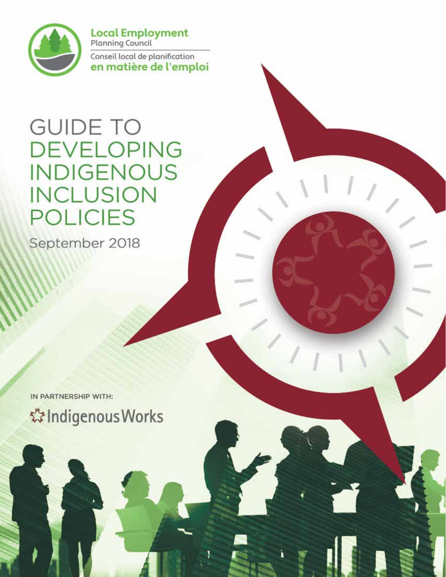

**Local Employment**<br>Planning Council Conseil local de planification en matière de l'emploi

# **GUIDE TO DEVELOPING INDIGENOUS INCLUSION POLICIES**

September 2018

IN PARTNERSHIP WITH: **☆Indigenous Works**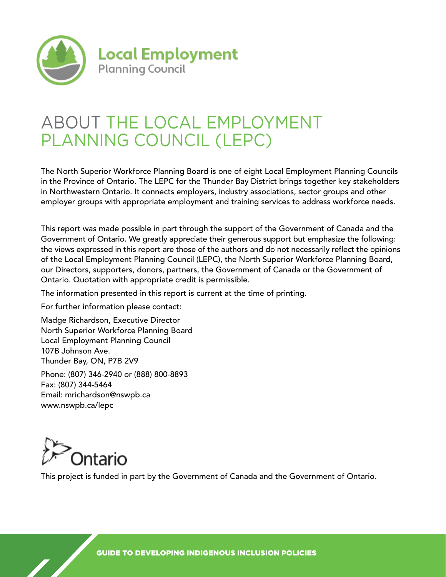

## ABOUT THE LOCAL EMPLOYMENT PLANNING COUNCIL (LEPC)

The North Superior Workforce Planning Board is one of eight Local Employment Planning Councils in the Province of Ontario. The LEPC for the Thunder Bay District brings together key stakeholders in Northwestern Ontario. It connects employers, industry associations, sector groups and other employer groups with appropriate employment and training services to address workforce needs.

This report was made possible in part through the support of the Government of Canada and the Government of Ontario. We greatly appreciate their generous support but emphasize the following: the views expressed in this report are those of the authors and do not necessarily reflect the opinions of the Local Employment Planning Council (LEPC), the North Superior Workforce Planning Board, our Directors, supporters, donors, partners, the Government of Canada or the Government of Ontario. Quotation with appropriate credit is permissible.

The information presented in this report is current at the time of printing.

For further information please contact:

Madge Richardson, Executive Director North Superior Workforce Planning Board Local Employment Planning Council 107B Johnson Ave. Thunder Bay, ON, P7B 2V9

Phone: (807) 346-2940 or (888) 800-8893 Fax: (807) 344-5464 Email: mrichardson@nswpb.ca www.nswpb.ca/lepc



This project is funded in part by the Government of Canada and the Government of Ontario.

GUIDE TO DEVELOPING INDIGENOUS INCLUSION POLICIES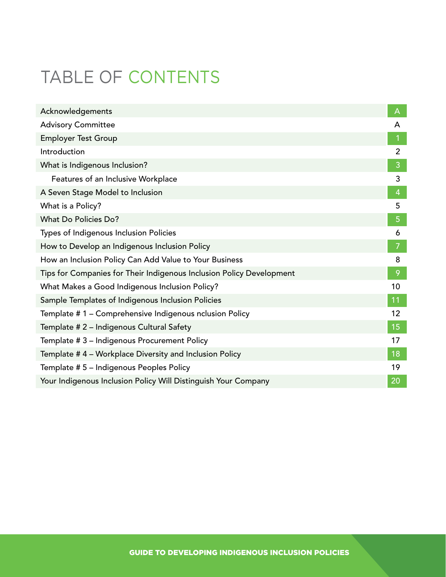# TABLE OF CONTENTS

| Acknowledgements                                                     | A              |  |
|----------------------------------------------------------------------|----------------|--|
| <b>Advisory Committee</b>                                            | A              |  |
| <b>Employer Test Group</b>                                           |                |  |
| Introduction                                                         | $\overline{2}$ |  |
| What is Indigenous Inclusion?                                        | 3              |  |
| Features of an Inclusive Workplace                                   | 3              |  |
| A Seven Stage Model to Inclusion                                     | 4              |  |
| What is a Policy?                                                    | 5              |  |
| What Do Policies Do?                                                 |                |  |
| Types of Indigenous Inclusion Policies                               | 6              |  |
| How to Develop an Indigenous Inclusion Policy                        | 7              |  |
| How an Inclusion Policy Can Add Value to Your Business               | 8              |  |
| Tips for Companies for Their Indigenous Inclusion Policy Development | 9              |  |
| What Makes a Good Indigenous Inclusion Policy?                       |                |  |
| Sample Templates of Indigenous Inclusion Policies                    |                |  |
| Template # 1 - Comprehensive Indigenous nclusion Policy              |                |  |
| Template # 2 - Indigenous Cultural Safety                            |                |  |
| Template # 3 - Indigenous Procurement Policy                         |                |  |
| Template #4 - Workplace Diversity and Inclusion Policy               |                |  |
| Template # 5 - Indigenous Peoples Policy                             |                |  |
| Your Indigenous Inclusion Policy Will Distinguish Your Company       |                |  |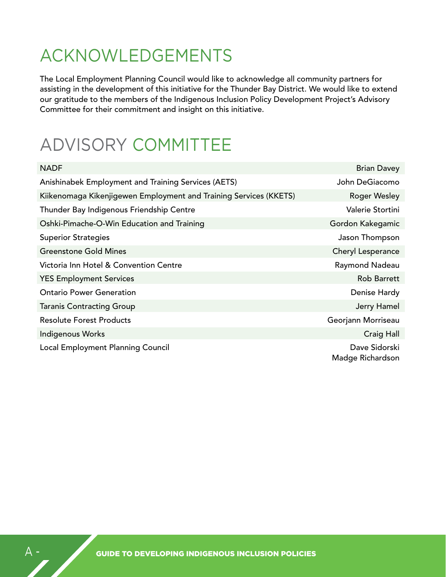# ACKNOWLEDGEMENTS

The Local Employment Planning Council would like to acknowledge all community partners for assisting in the development of this initiative for the Thunder Bay District. We would like to extend our gratitude to the members of the Indigenous Inclusion Policy Development Project's Advisory Committee for their commitment and insight on this initiative.

# ADVISORY COMMITTEE

| <b>NADF</b>                                                       | <b>Brian Davey</b>                |
|-------------------------------------------------------------------|-----------------------------------|
| Anishinabek Employment and Training Services (AETS)               | John DeGiacomo                    |
| Kiikenomaga Kikenjigewen Employment and Training Services (KKETS) | <b>Roger Wesley</b>               |
| Thunder Bay Indigenous Friendship Centre                          | Valerie Stortini                  |
| Oshki-Pimache-O-Win Education and Training                        | Gordon Kakegamic                  |
| <b>Superior Strategies</b>                                        | Jason Thompson                    |
| <b>Greenstone Gold Mines</b>                                      | Cheryl Lesperance                 |
| Victoria Inn Hotel & Convention Centre                            | Raymond Nadeau                    |
| <b>YES Employment Services</b>                                    | <b>Rob Barrett</b>                |
| <b>Ontario Power Generation</b>                                   | Denise Hardy                      |
| <b>Taranis Contracting Group</b>                                  | Jerry Hamel                       |
| <b>Resolute Forest Products</b>                                   | Georjann Morriseau                |
| <b>Indigenous Works</b>                                           | Craig Hall                        |
| Local Employment Planning Council                                 | Dave Sidorski<br>Madge Richardson |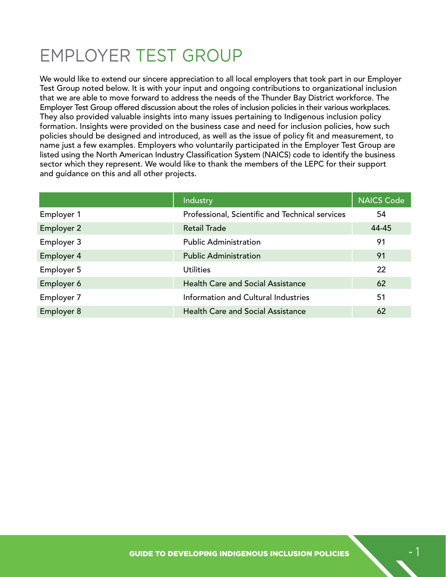# EMPLOYER TEST GROUP

We would like to extend our sincere appreciation to all local employers that took part in our Employer Test Group noted below. It is with your input and ongoing contributions to organizational inclusion that we are able to move forward to address the needs of the Thunder Bay District workforce. The Employer Test Group offered discussion about the roles of inclusion policies in their various workplaces. They also provided valuable insights into many issues pertaining to Indigenous inclusion policy formation. Insights were provided on the business case and need for inclusion policies, how such policies should be designed and introduced, as well as the issue of policy fit and measurement, to name just a few examples. Employers who voluntarily participated in the Employer Test Group are listed using the North American Industry Classification System (NAICS) code to identify the business sector which they represent. We would like to thank the members of the LEPC for their support and guidance on this and all other projects.

|                   | Industry                                        | <b>NAICS Code</b> |
|-------------------|-------------------------------------------------|-------------------|
| Employer 1        | Professional, Scientific and Technical services | 54                |
| <b>Employer 2</b> | Retail Trade                                    | 44-45             |
| Employer 3        | <b>Public Administration</b>                    | 91                |
| Employer 4        | <b>Public Administration</b>                    | 91                |
| Employer 5        | Utilities                                       | 22                |
| Employer 6        | <b>Health Care and Social Assistance</b>        | 62                |
| Employer 7        | Information and Cultural Industries             | 51                |
| Employer 8        | <b>Health Care and Social Assistance</b>        | 62                |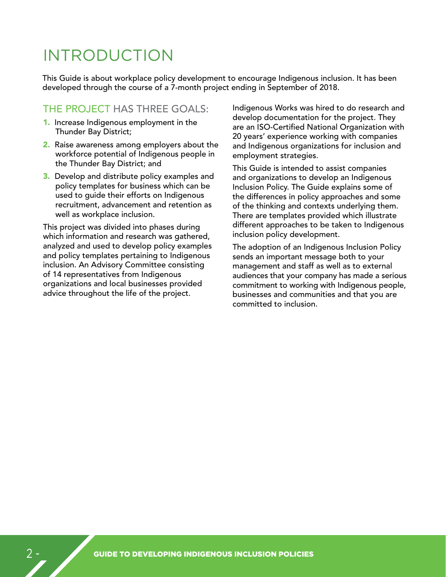## INTRODUCTION

This Guide is about workplace policy development to encourage Indigenous inclusion. It has been developed through the course of a 7-month project ending in September of 2018.

### THE PROJECT HAS THREE GOALS:

- 1. Increase Indigenous employment in the Thunder Bay District;
- 2. Raise awareness among employers about the workforce potential of Indigenous people in the Thunder Bay District; and
- **3.** Develop and distribute policy examples and policy templates for business which can be used to guide their efforts on Indigenous recruitment, advancement and retention as well as workplace inclusion.

This project was divided into phases during which information and research was gathered, analyzed and used to develop policy examples and policy templates pertaining to Indigenous inclusion. An Advisory Committee consisting of 14 representatives from Indigenous organizations and local businesses provided advice throughout the life of the project.

Indigenous Works was hired to do research and develop documentation for the project. They are an ISO-Certified National Organization with 20 years' experience working with companies and Indigenous organizations for inclusion and employment strategies.

This Guide is intended to assist companies and organizations to develop an Indigenous Inclusion Policy. The Guide explains some of the differences in policy approaches and some of the thinking and contexts underlying them. There are templates provided which illustrate different approaches to be taken to Indigenous inclusion policy development.

The adoption of an Indigenous Inclusion Policy sends an important message both to your management and staff as well as to external audiences that your company has made a serious commitment to working with Indigenous people, businesses and communities and that you are committed to inclusion.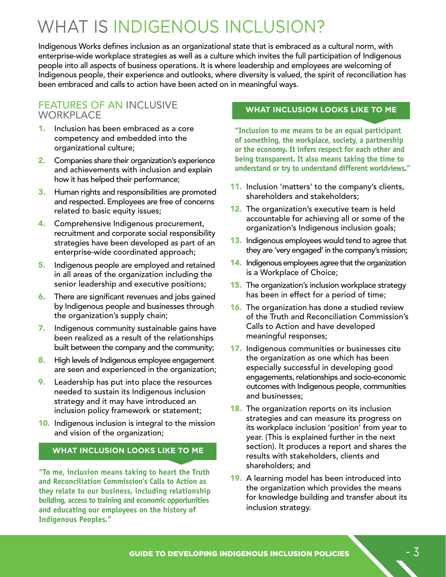# WHAT IS INDIGENOUS INCLUSION?

Indigenous Works defines inclusion as an organizational state that is embraced as a cultural norm, with enterprise-wide workplace strategies as well as a culture which invites the full participation of Indigenous people into all aspects of business operations. It is where leadership and employees are welcoming of Indigenous people, their experience and outlooks, where diversity is valued, the spirit of reconciliation has been embraced and calls to action have been acted on in meaningful ways.

### FEATURES OF AN INCLUSIVE **WORKPLACE**

- 1. Inclusion has been embraced as a core competency and embedded into the organizational culture;
- 2. Companies share their organization's experience and achievements with inclusion and explain how it has helped their performance;
- **3.** Human rights and responsibilities are promoted and respected. Employees are free of concerns related to basic equity issues;
- 4. Comprehensive Indigenous procurement, recruitment and corporate social responsibility strategies have been developed as part of an enterprise-wide coordinated approach;
- 5. Indigenous people are employed and retained in all areas of the organization including the senior leadership and executive positions;
- **6.** There are significant revenues and jobs gained by Indigenous people and businesses through the organization's supply chain;
- 7. Indigenous community sustainable gains have been realized as a result of the relationships built between the company and the community;
- 8. High levels of Indigenous employee engagement are seen and experienced in the organization;
- **9.** Leadership has put into place the resources needed to sustain its Indigenous inclusion strategy and it may have introduced an inclusion policy framework or statement;
- **10.** Indigenous inclusion is integral to the mission and vision of the organization;

#### **WHAT INCLUSION LOOKS LIKE TO ME**

**"To me, inclusion means taking to heart the Truth and Reconciliation Commission's Calls to Action as they relate to our business, including relationship building, access to training and economic opportunities and educating our employees on the history of Indigenous Peoples."**

#### **WHAT INCLUSION LOOKS LIKE TO ME**

**"Inclusion to me means to be an equal participant of something, the workplace, society, a partnership or the economy. It infers respect for each other and being transparent. It also means taking the time to understand or try to understand different worldviews."**

- 11. Inclusion 'matters' to the company's clients, shareholders and stakeholders;
- 12. The organization's executive team is held accountable for achieving all or some of the organization's Indigenous inclusion goals;
- **13.** Indigenous employees would tend to agree that they are 'very engaged' in the company's mission;
- 14. Indigenous employees agree that the organization is a Workplace of Choice;
- **15.** The organization's inclusion workplace strategy has been in effect for a period of time;
- **16.** The organization has done a studied review of the Truth and Reconciliation Commission's Calls to Action and have developed meaningful responses;
- 17. Indigenous communities or businesses cite the organization as one which has been especially successful in developing good engagements, relationships and socio-economic outcomes with Indigenous people, communities and businesses;
- **18.** The organization reports on its inclusion strategies and can measure its progress on its workplace inclusion 'position' from year to year. (This is explained further in the next section). It produces a report and shares the results with stakeholders, clients and shareholders; and
- 19. A learning model has been introduced into the organization which provides the means for knowledge building and transfer about its inclusion strategy.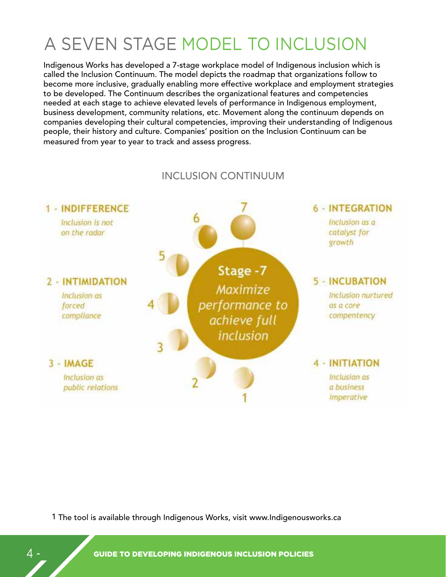# A SEVEN STAGE MODEL TO INCLUSION

Indigenous Works has developed a 7-stage workplace model of Indigenous inclusion which is called the Inclusion Continuum. The model depicts the roadmap that organizations follow to become more inclusive, gradually enabling more effective workplace and employment strategies to be developed. The Continuum describes the organizational features and competencies needed at each stage to achieve elevated levels of performance in Indigenous employment, business development, community relations, etc. Movement along the continuum depends on companies developing their cultural competencies, improving their understanding of Indigenous people, their history and culture. Companies' position on the Inclusion Continuum can be measured from year to year to track and assess progress.



## INCLUSION CONTINUUM

1 The tool is available through Indigenous Works, visit www.Indigenousworks.ca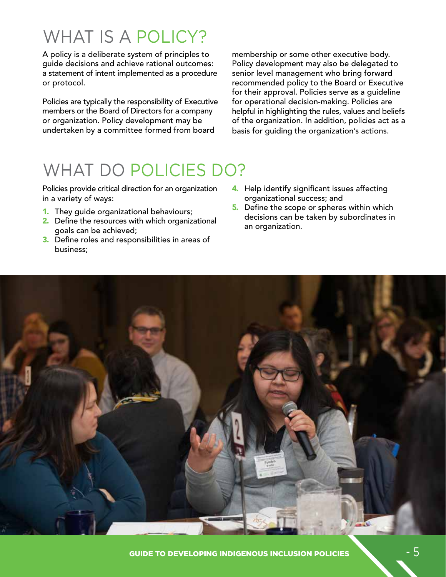# WHAT IS A POLICY?

A policy is a deliberate system of principles to guide decisions and achieve rational outcomes: a statement of intent implemented as a procedure or protocol.

Policies are typically the responsibility of Executive members or the Board of Directors for a company or organization. Policy development may be undertaken by a committee formed from board

membership or some other executive body. Policy development may also be delegated to senior level management who bring forward recommended policy to the Board or Executive for their approval. Policies serve as a guideline for operational decision-making. Policies are helpful in highlighting the rules, values and beliefs of the organization. In addition, policies act as a basis for guiding the organization's actions.

# WHAT DO POLICIES DO?

Policies provide critical direction for an organization in a variety of ways:

- 1. They guide organizational behaviours;
- 2. Define the resources with which organizational goals can be achieved;
- 3. Define roles and responsibilities in areas of business;
- 4. Help identify significant issues affecting organizational success; and
- 5. Define the scope or spheres within which decisions can be taken by subordinates in an organization.

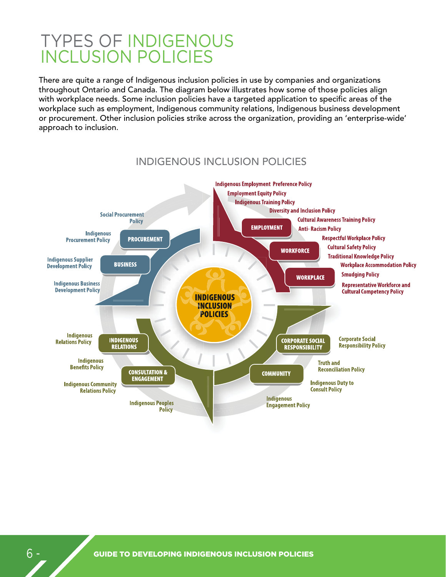## TYPES OF INDIGENOUS INCLUSION POLICIES

There are quite a range of Indigenous inclusion policies in use by companies and organizations throughout Ontario and Canada. The diagram below illustrates how some of those policies align with workplace needs. Some inclusion policies have a targeted application to specific areas of the workplace such as employment, Indigenous community relations, Indigenous business development or procurement. Other inclusion policies strike across the organization, providing an 'enterprise-wide' approach to inclusion.



INDIGENOUS INCLUSION POLICIES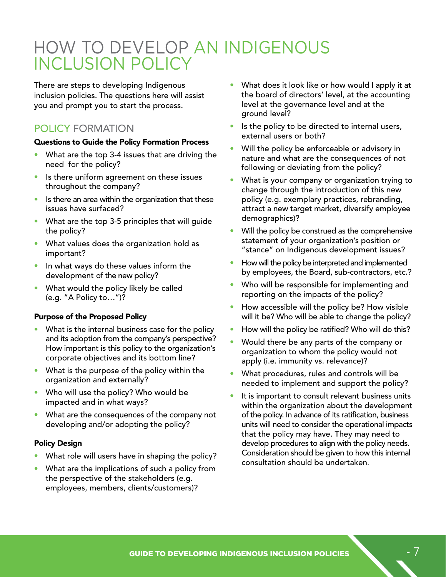# HOW TO DEVELOP AN INDIGENOUS INCLUSION POLICY

There are steps to developing Indigenous inclusion policies. The questions here will assist you and prompt you to start the process.

## POLICY FORMATION

#### Questions to Guide the Policy Formation Process

- What are the top 3-4 issues that are driving the need for the policy?
- Is there uniform agreement on these issues throughout the company?
- Is there an area within the organization that these issues have surfaced?
- What are the top 3-5 principles that will guide the policy?
- What values does the organization hold as important?
- In what ways do these values inform the development of the new policy?
- What would the policy likely be called (e.g. "A Policy to…")?

#### Purpose of the Proposed Policy

- What is the internal business case for the policy and its adoption from the company's perspective? How important is this policy to the organization's corporate objectives and its bottom line?
- What is the purpose of the policy within the organization and externally?
- Who will use the policy? Who would be impacted and in what ways?
- What are the consequences of the company not developing and/or adopting the policy?

#### Policy Design

- What role will users have in shaping the policy?
- What are the implications of such a policy from the perspective of the stakeholders (e.g. employees, members, clients/customers)?
- What does it look like or how would I apply it at the board of directors' level, at the accounting level at the governance level and at the ground level?
- Is the policy to be directed to internal users, external users or both?
- Will the policy be enforceable or advisory in nature and what are the consequences of not following or deviating from the policy?
- What is your company or organization trying to change through the introduction of this new policy (e.g. exemplary practices, rebranding, attract a new target market, diversify employee demographics)?
- Will the policy be construed as the comprehensive statement of your organization's position or "stance" on Indigenous development issues?
- How will the policy be interpreted and implemented by employees, the Board, sub-contractors, etc.?
- Who will be responsible for implementing and reporting on the impacts of the policy?
- How accessible will the policy be? How visible will it be? Who will be able to change the policy?
- How will the policy be ratified? Who will do this?
- Would there be any parts of the company or organization to whom the policy would not apply (i.e. immunity vs. relevance)?
- What procedures, rules and controls will be needed to implement and support the policy?
- It is important to consult relevant business units within the organization about the development of the policy. In advance of its ratification, business units will need to consider the operational impacts that the policy may have. They may need to develop procedures to align with the policy needs. Consideration should be given to how this internal consultation should be undertaken.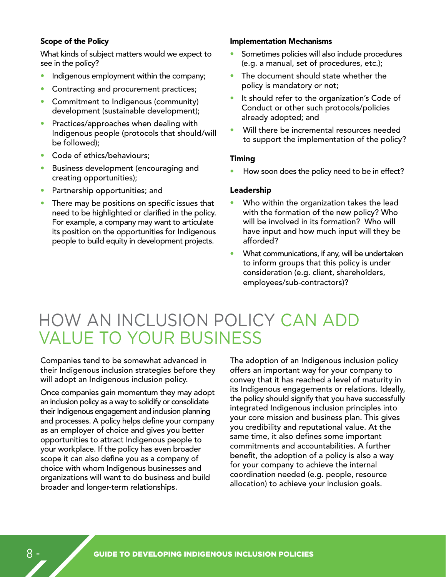#### Scope of the Policy

What kinds of subject matters would we expect to see in the policy?

- Indigenous employment within the company;
- Contracting and procurement practices;
- Commitment to Indigenous (community) development (sustainable development);
- Practices/approaches when dealing with Indigenous people (protocols that should/will be followed);
- Code of ethics/behaviours;
- Business development (encouraging and creating opportunities);
- Partnership opportunities; and
- There may be positions on specific issues that need to be highlighted or clarified in the policy. For example, a company may want to articulate its position on the opportunities for Indigenous people to build equity in development projects.

#### Implementation Mechanisms

- Sometimes policies will also include procedures (e.g. a manual, set of procedures, etc.);
- The document should state whether the policy is mandatory or not;
- It should refer to the organization's Code of Conduct or other such protocols/policies already adopted; and
- Will there be incremental resources needed to support the implementation of the policy?

#### Timing

How soon does the policy need to be in effect?

#### Leadership

- Who within the organization takes the lead with the formation of the new policy? Who will be involved in its formation? Who will have input and how much input will they be afforded?
- What communications, if any, will be undertaken to inform groups that this policy is under consideration (e.g. client, shareholders, employees/sub-contractors)?

## HOW AN INCLUSION POLICY CAN ADD VALUE TO YOUR BUSINESS

Companies tend to be somewhat advanced in their Indigenous inclusion strategies before they will adopt an Indigenous inclusion policy.

Once companies gain momentum they may adopt an inclusion policy as a way to solidify or consolidate their Indigenous engagement and inclusion planning and processes. A policy helps define your company as an employer of choice and gives you better opportunities to attract Indigenous people to your workplace. If the policy has even broader scope it can also define you as a company of choice with whom Indigenous businesses and organizations will want to do business and build broader and longer-term relationships.

The adoption of an Indigenous inclusion policy offers an important way for your company to convey that it has reached a level of maturity in its Indigenous engagements or relations. Ideally, the policy should signify that you have successfully integrated Indigenous inclusion principles into your core mission and business plan. This gives you credibility and reputational value. At the same time, it also defines some important commitments and accountabilities. A further benefit, the adoption of a policy is also a way for your company to achieve the internal coordination needed (e.g. people, resource allocation) to achieve your inclusion goals.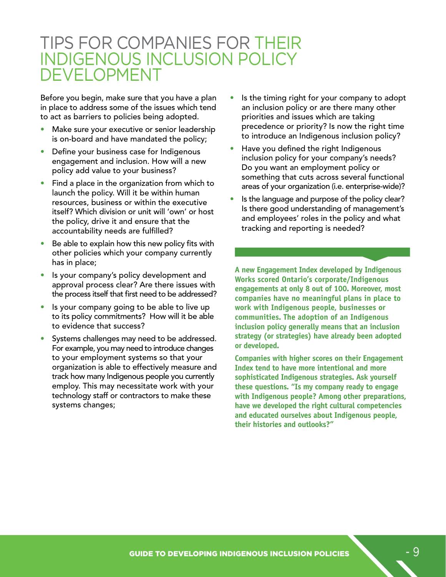## TIPS FOR COMPANIES FOR THEIR INDIGENOUS INCLUSION POLICY DEVELOPMENT

Before you begin, make sure that you have a plan in place to address some of the issues which tend to act as barriers to policies being adopted.

- Make sure your executive or senior leadership is on-board and have mandated the policy;
- Define your business case for Indigenous engagement and inclusion. How will a new policy add value to your business?
- Find a place in the organization from which to launch the policy. Will it be within human resources, business or within the executive itself? Which division or unit will 'own' or host the policy, drive it and ensure that the accountability needs are fulfilled?
- Be able to explain how this new policy fits with other policies which your company currently has in place;
- Is your company's policy development and approval process clear? Are there issues with the process itself that first need to be addressed?
- Is your company going to be able to live up to its policy commitments? How will it be able to evidence that success?
- Systems challenges may need to be addressed. For example, you may need to introduce changes to your employment systems so that your organization is able to effectively measure and track how many Indigenous people you currently employ. This may necessitate work with your technology staff or contractors to make these systems changes;
- Is the timing right for your company to adopt an inclusion policy or are there many other priorities and issues which are taking precedence or priority? Is now the right time to introduce an Indigenous inclusion policy?
- Have you defined the right Indigenous inclusion policy for your company's needs? Do you want an employment policy or something that cuts across several functional areas of your organization (i.e. enterprise-wide)?
- Is the language and purpose of the policy clear? Is there good understanding of management's and employees' roles in the policy and what tracking and reporting is needed?

**A new Engagement Index developed by Indigenous Works scored Ontario's corporate/Indigenous engagements at only 8 out of 100. Moreover, most companies have no meaningful plans in place to work with Indigenous people, businesses or communities. The adoption of an Indigenous inclusion policy generally means that an inclusion strategy (or strategies) have already been adopted or developed.**

**Companies with higher scores on their Engagement Index tend to have more intentional and more sophisticated Indigenous strategies. Ask yourself these questions. "Is my company ready to engage with Indigenous people? Among other preparations, have we developed the right cultural competencies and educated ourselves about Indigenous people, their histories and outlooks?"**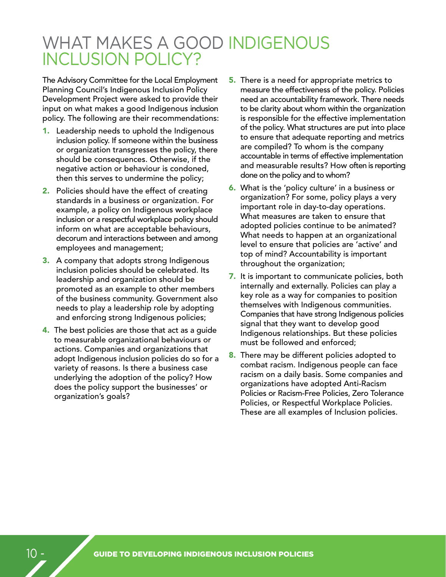## WHAT MAKES A GOOD INDIGENOUS INCLUSION POLICY?

The Advisory Committee for the Local Employment Planning Council's Indigenous Inclusion Policy Development Project were asked to provide their input on what makes a good Indigenous inclusion policy. The following are their recommendations:

- 1. Leadership needs to uphold the Indigenous inclusion policy. If someone within the business or organization transgresses the policy, there should be consequences. Otherwise, if the negative action or behaviour is condoned, then this serves to undermine the policy;
- 2. Policies should have the effect of creating standards in a business or organization. For example, a policy on Indigenous workplace inclusion or a respectful workplace policy should inform on what are acceptable behaviours, decorum and interactions between and among employees and management;
- **3.** A company that adopts strong Indigenous inclusion policies should be celebrated. Its leadership and organization should be promoted as an example to other members of the business community. Government also needs to play a leadership role by adopting and enforcing strong Indigenous policies;
- 4. The best policies are those that act as a guide to measurable organizational behaviours or actions. Companies and organizations that adopt Indigenous inclusion policies do so for a variety of reasons. Is there a business case underlying the adoption of the policy? How does the policy support the businesses' or organization's goals?
- **5.** There is a need for appropriate metrics to measure the effectiveness of the policy. Policies need an accountability framework. There needs to be clarity about whom within the organization is responsible for the effective implementation of the policy. What structures are put into place to ensure that adequate reporting and metrics are compiled? To whom is the company accountable in terms of effective implementation and measurable results? How often is reporting done on the policy and to whom?
- 6. What is the 'policy culture' in a business or organization? For some, policy plays a very important role in day-to-day operations. What measures are taken to ensure that adopted policies continue to be animated? What needs to happen at an organizational level to ensure that policies are 'active' and top of mind? Accountability is important throughout the organization;
- 7. It is important to communicate policies, both internally and externally. Policies can play a key role as a way for companies to position themselves with Indigenous communities. Companies that have strong Indigenous policies signal that they want to develop good Indigenous relationships. But these policies must be followed and enforced;
- 8. There may be different policies adopted to combat racism. Indigenous people can face racism on a daily basis. Some companies and organizations have adopted Anti-Racism Policies or Racism-Free Policies, Zero Tolerance Policies, or Respectful Workplace Policies. These are all examples of Inclusion policies.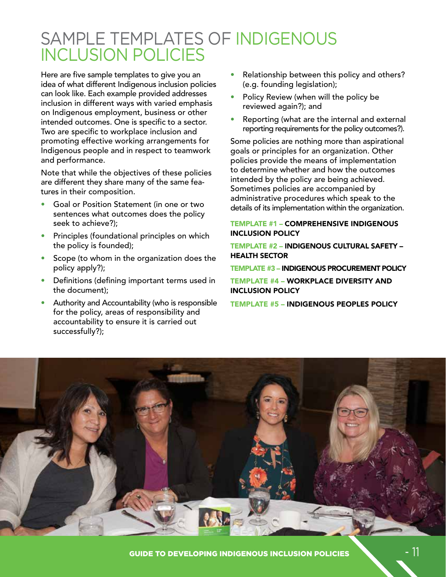## SAMPLE TEMPLATES OF INDIGENOUS INCLUSION POLICIES

Here are five sample templates to give you an idea of what different Indigenous inclusion policies can look like. Each example provided addresses inclusion in different ways with varied emphasis on Indigenous employment, business or other intended outcomes. One is specific to a sector. Two are specific to workplace inclusion and promoting effective working arrangements for Indigenous people and in respect to teamwork and performance.

Note that while the objectives of these policies are different they share many of the same features in their composition.

- Goal or Position Statement (in one or two sentences what outcomes does the policy seek to achieve?);
- Principles (foundational principles on which the policy is founded);
- Scope (to whom in the organization does the policy apply?);
- Definitions (defining important terms used in the document);
- Authority and Accountability (who is responsible for the policy, areas of responsibility and accountability to ensure it is carried out successfully?);
- Relationship between this policy and others? (e.g. founding legislation);
- Policy Review (when will the policy be reviewed again?); and
- Reporting (what are the internal and external reporting requirements for the policy outcomes?).

Some policies are nothing more than aspirational goals or principles for an organization. Other policies provide the means of implementation to determine whether and how the outcomes intended by the policy are being achieved. Sometimes policies are accompanied by administrative procedures which speak to the details of its implementation within the organization.

#### TEMPLATE #1 – COMPREHENSIVE INDIGENOUS INCLUSION POLICY

TEMPLATE #2 – INDIGENOUS CULTURAL SAFETY – HEALTH SECTOR

TEMPLATE #3 – INDIGENOUS PROCUREMENT POLICY

TEMPLATE #4 – WORKPLACE DIVERSITY AND INCLUSION POLICY

TEMPLATE #5 – INDIGENOUS PEOPLES POLICY

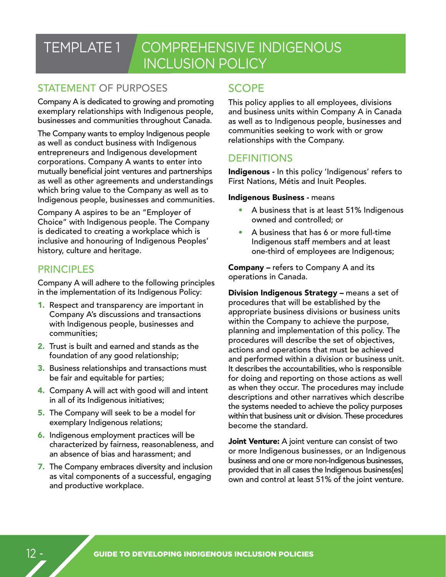## TEMPLATE 1 COMPREHENSIVE INDIGENOUS INCLUSION POLICY

## STATEMENT OF PURPOSES

Company A is dedicated to growing and promoting exemplary relationships with Indigenous people, businesses and communities throughout Canada.

The Company wants to employ Indigenous people as well as conduct business with Indigenous entrepreneurs and Indigenous development corporations. Company A wants to enter into mutually beneficial joint ventures and partnerships as well as other agreements and understandings which bring value to the Company as well as to Indigenous people, businesses and communities.

Company A aspires to be an "Employer of Choice" with Indigenous people. The Company is dedicated to creating a workplace which is inclusive and honouring of Indigenous Peoples' history, culture and heritage.

## **PRINCIPLES**

Company A will adhere to the following principles in the implementation of its Indigenous Policy:

- 1. Respect and transparency are important in Company A's discussions and transactions with Indigenous people, businesses and communities;
- 2. Trust is built and earned and stands as the foundation of any good relationship;
- 3. Business relationships and transactions must be fair and equitable for parties;
- 4. Company A will act with good will and intent in all of its Indigenous initiatives;
- **5.** The Company will seek to be a model for exemplary Indigenous relations;
- 6. Indigenous employment practices will be characterized by fairness, reasonableness, and an absence of bias and harassment; and
- 7. The Company embraces diversity and inclusion as vital components of a successful, engaging and productive workplace.

## **SCOPE**

This policy applies to all employees, divisions and business units within Company A in Canada as well as to Indigenous people, businesses and communities seeking to work with or grow relationships with the Company.

## **DEFINITIONS**

Indigenous - In this policy 'Indigenous' refers to First Nations, Métis and Inuit Peoples.

#### Indigenous Business - means

- A business that is at least 51% Indigenous owned and controlled; or
- A business that has 6 or more full-time Indigenous staff members and at least one-third of employees are Indigenous;

Company - refers to Company A and its operations in Canada.

Division Indigenous Strategy – means a set of procedures that will be established by the appropriate business divisions or business units within the Company to achieve the purpose, planning and implementation of this policy. The procedures will describe the set of objectives, actions and operations that must be achieved and performed within a division or business unit. It describes the accountabilities, who is responsible for doing and reporting on those actions as well as when they occur. The procedures may include descriptions and other narratives which describe the systems needed to achieve the policy purposes within that business unit or division. These procedures become the standard.

Joint Venture: A joint venture can consist of two or more Indigenous businesses, or an Indigenous business and one or more non-Indigenous businesses, provided that in all cases the Indigenous business[es] own and control at least 51% of the joint venture.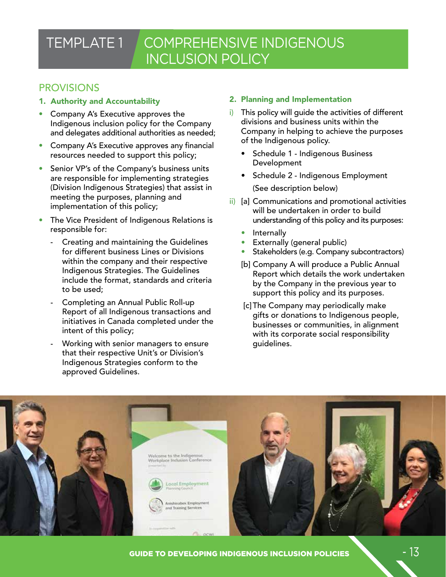## TEMPLATE 1 COMPREHENSIVE INDIGENOUS INCLUSION POLICY

### **PROVISIONS**

- 1. Authority and Accountability
- Company A's Executive approves the Indigenous inclusion policy for the Company and delegates additional authorities as needed;
- Company A's Executive approves any financial resources needed to support this policy;
- Senior VP's of the Company's business units are responsible for implementing strategies (Division Indigenous Strategies) that assist in meeting the purposes, planning and implementation of this policy;
- The Vice President of Indigenous Relations is responsible for:
	- Creating and maintaining the Guidelines for different business Lines or Divisions within the company and their respective Indigenous Strategies. The Guidelines include the format, standards and criteria to be used;
	- Completing an Annual Public Roll-up Report of all Indigenous transactions and initiatives in Canada completed under the intent of this policy;
	- Working with senior managers to ensure that their respective Unit's or Division's Indigenous Strategies conform to the approved Guidelines.

#### 2. Planning and Implementation

- i) This policy will guide the activities of different divisions and business units within the Company in helping to achieve the purposes of the Indigenous policy.
	- Schedule 1 Indigenous Business Development
	- Schedule 2 Indigenous Employment (See description below)
- ii) [a] Communications and promotional activities will be undertaken in order to build understanding of this policy and its purposes:
	- **Internally**
	- Externally (general public)
	- Stakeholders (e.g. Company subcontractors)
	- [b] Company A will produce a Public Annual Report which details the work undertaken by the Company in the previous year to support this policy and its purposes.
	- [c]The Company may periodically make gifts or donations to Indigenous people, businesses or communities, in alignment with its corporate social responsibility guidelines.

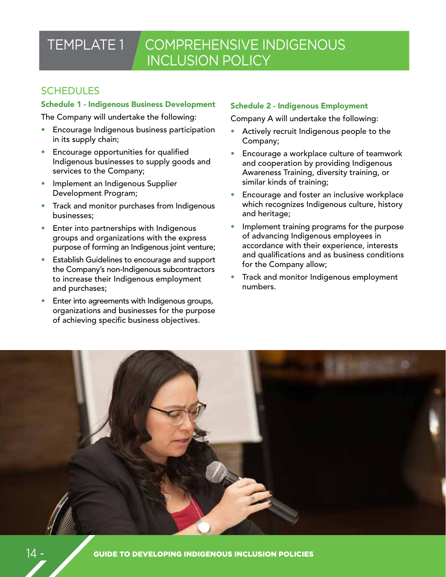## TEMPLATE 1 COMPREHENSIVE INDIGENOUS INCLUSION POLICY

## **SCHEDULES**

#### Schedule 1 - Indigenous Business Development

The Company will undertake the following:

- Encourage Indigenous business participation in its supply chain;
- Encourage opportunities for qualified Indigenous businesses to supply goods and services to the Company;
- Implement an Indigenous Supplier Development Program;
- Track and monitor purchases from Indigenous businesses;
- Enter into partnerships with Indigenous groups and organizations with the express purpose of forming an Indigenous joint venture;
- Establish Guidelines to encourage and support the Company's non-Indigenous subcontractors to increase their Indigenous employment and purchases;
- Enter into agreements with Indigenous groups, organizations and businesses for the purpose of achieving specific business objectives.

#### Schedule 2 - Indigenous Employment

Company A will undertake the following:

- Actively recruit Indigenous people to the Company;
- Encourage a workplace culture of teamwork and cooperation by providing Indigenous Awareness Training, diversity training, or similar kinds of training;
- Encourage and foster an inclusive workplace which recognizes Indigenous culture, history and heritage;
- Implement training programs for the purpose of advancing Indigenous employees in accordance with their experience, interests and qualifications and as business conditions for the Company allow;
- Track and monitor Indigenous employment numbers.

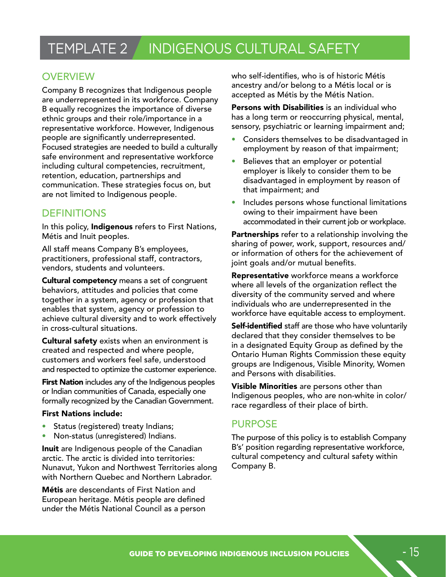## TEMPLATE 2 INDIGENOUS CULTURAL SAFETY

## **OVERVIEW**

Company B recognizes that Indigenous people are underrepresented in its workforce. Company B equally recognizes the importance of diverse ethnic groups and their role/importance in a representative workforce. However, Indigenous people are significantly underrepresented. Focused strategies are needed to build a culturally safe environment and representative workforce including cultural competencies, recruitment, retention, education, partnerships and communication. These strategies focus on, but are not limited to Indigenous people.

## DEFINITIONS

In this policy, **Indigenous** refers to First Nations, Métis and Inuit peoples.

All staff means Company B's employees, practitioners, professional staff, contractors, vendors, students and volunteers.

Cultural competency means a set of congruent behaviors, attitudes and policies that come together in a system, agency or profession that enables that system, agency or profession to achieve cultural diversity and to work effectively in cross-cultural situations.

Cultural safety exists when an environment is created and respected and where people, customers and workers feel safe, understood and respected to optimize the customer experience.

**First Nation** includes any of the Indigenous peoples or Indian communities of Canada, especially one formally recognized by the Canadian Government.

#### First Nations include:

- Status (registered) treaty Indians;
- Non-status (unregistered) Indians.

Inuit are Indigenous people of the Canadian arctic. The arctic is divided into territories: Nunavut, Yukon and Northwest Territories along with Northern Quebec and Northern Labrador.

Métis are descendants of First Nation and European heritage. Métis people are defined under the Métis National Council as a person who self-identifies, who is of historic Métis ancestry and/or belong to a Métis local or is accepted as Métis by the Métis Nation.

Persons with Disabilities is an individual who has a long term or reoccurring physical, mental, sensory, psychiatric or learning impairment and;

- Considers themselves to be disadvantaged in employment by reason of that impairment;
- Believes that an employer or potential employer is likely to consider them to be disadvantaged in employment by reason of that impairment; and
- Includes persons whose functional limitations owing to their impairment have been accommodated in their current job or workplace.

Partnerships refer to a relationship involving the sharing of power, work, support, resources and/ or information of others for the achievement of joint goals and/or mutual benefits.

Representative workforce means a workforce where all levels of the organization reflect the diversity of the community served and where individuals who are underrepresented in the workforce have equitable access to employment.

Self-identified staff are those who have voluntarily declared that they consider themselves to be in a designated Equity Group as defined by the Ontario Human Rights Commission these equity groups are Indigenous, Visible Minority, Women and Persons with disabilities.

**Visible Minorities** are persons other than Indigenous peoples, who are non-white in color/ race regardless of their place of birth.

## PURPOSE

The purpose of this policy is to establish Company B's' position regarding representative workforce, cultural competency and cultural safety within Company B.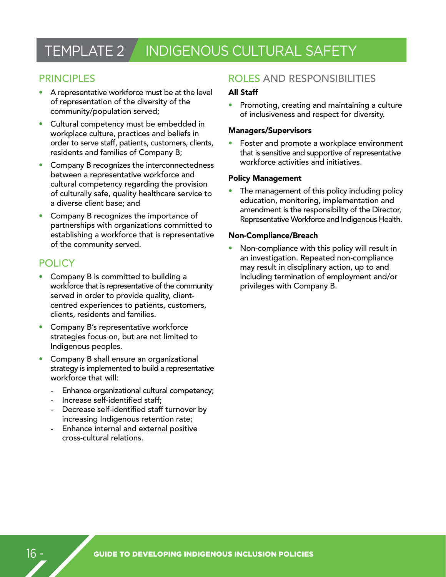## TEMPLATE 2 | INDIGENOUS CULTURAL SAFETY

### PRINCIPLES

- A representative workforce must be at the level of representation of the diversity of the community/population served;
- Cultural competency must be embedded in workplace culture, practices and beliefs in order to serve staff, patients, customers, clients, residents and families of Company B;
- Company B recognizes the interconnectedness between a representative workforce and cultural competency regarding the provision of culturally safe, quality healthcare service to a diverse client base; and
- Company B recognizes the importance of partnerships with organizations committed to establishing a workforce that is representative of the community served.

### **POLICY**

- Company B is committed to building a workforce that is representative of the community served in order to provide quality, clientcentred experiences to patients, customers, clients, residents and families.
- Company B's representative workforce strategies focus on, but are not limited to Indigenous peoples.
- Company B shall ensure an organizational strategy is implemented to build a representative workforce that will:
	- Enhance organizational cultural competency;
	- Increase self-identified staff:
	- Decrease self-identified staff turnover by increasing Indigenous retention rate;
	- Enhance internal and external positive cross-cultural relations.

### ROLES AND RESPONSIBILITIES

#### All Staff

• Promoting, creating and maintaining a culture of inclusiveness and respect for diversity.

#### Managers/Supervisors

• Foster and promote a workplace environment that is sensitive and supportive of representative workforce activities and initiatives.

#### Policy Management

The management of this policy including policy education, monitoring, implementation and amendment is the responsibility of the Director, Representative Workforce and Indigenous Health.

#### Non-Compliance/Breach

• Non-compliance with this policy will result in an investigation. Repeated non-compliance may result in disciplinary action, up to and including termination of employment and/or privileges with Company B.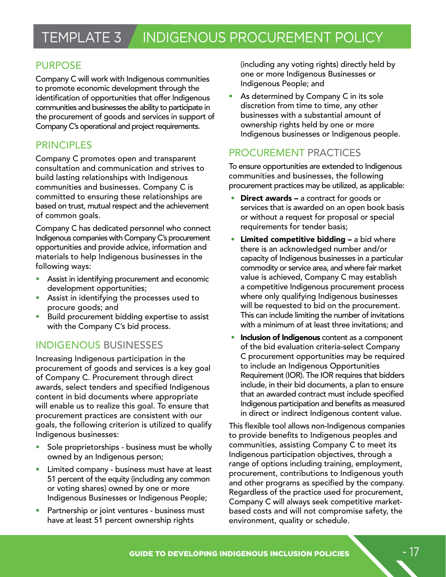### PURPOSE

Company C will work with Indigenous communities to promote economic development through the identification of opportunities that offer Indigenous communities and businesses the ability to participate in the procurement of goods and services in support of Company C's operational and project requirements.

### **PRINCIPLES**

Company C promotes open and transparent consultation and communication and strives to build lasting relationships with Indigenous communities and businesses. Company C is committed to ensuring these relationships are based on trust, mutual respect and the achievement of common goals.

Company C has dedicated personnel who connect Indigenous companies with Company C's procurement opportunities and provide advice, information and materials to help Indigenous businesses in the following ways:

- Assist in identifying procurement and economic development opportunities;
- Assist in identifying the processes used to procure goods; and
- Build procurement bidding expertise to assist with the Company C's bid process.

## INDIGENOUS BUSINESSES

Increasing Indigenous participation in the procurement of goods and services is a key goal of Company C. Procurement through direct awards, select tenders and specified Indigenous content in bid documents where appropriate will enable us to realize this goal. To ensure that procurement practices are consistent with our goals, the following criterion is utilized to qualify Indigenous businesses:

- Sole proprietorships business must be wholly owned by an Indigenous person;
- Limited company business must have at least 51 percent of the equity (including any common or voting shares) owned by one or more Indigenous Businesses or Indigenous People;
- Partnership or joint ventures business must have at least 51 percent ownership rights

(including any voting rights) directly held by one or more Indigenous Businesses or Indigenous People; and

As determined by Company C in its sole discretion from time to time, any other businesses with a substantial amount of ownership rights held by one or more Indigenous businesses or Indigenous people.

## PROCUREMENT PRACTICES

To ensure opportunities are extended to Indigenous communities and businesses, the following procurement practices may be utilized, as applicable:

- **Direct awards a contract for goods or** services that is awarded on an open book basis or without a request for proposal or special requirements for tender basis;
- **Limited competitive bidding a bid where** there is an acknowledged number and/or capacity of Indigenous businesses in a particular commodity or service area, and where fair market value is achieved, Company C may establish a competitive Indigenous procurement process where only qualifying Indigenous businesses will be requested to bid on the procurement. This can include limiting the number of invitations with a minimum of at least three invitations; and
- Inclusion of Indigenous content as a component of the bid evaluation criteria-select Company C procurement opportunities may be required to include an Indigenous Opportunities Requirement (IOR). The IOR requires that bidders include, in their bid documents, a plan to ensure that an awarded contract must include specified Indigenous participation and benefits as measured in direct or indirect Indigenous content value.

This flexible tool allows non-Indigenous companies to provide benefits to Indigenous peoples and communities, assisting Company C to meet its Indigenous participation objectives, through a range of options including training, employment, procurement, contributions to Indigenous youth and other programs as specified by the company. Regardless of the practice used for procurement, Company C will always seek competitive marketbased costs and will not compromise safety, the environment, quality or schedule.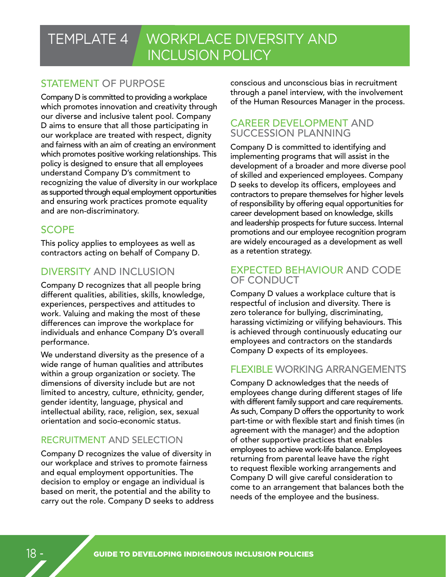## TEMPLATE 4 WORKPLACE DIVERSITY AND INCLUSION POLICY

## STATEMENT OF PURPOSE

Company D is committed to providing a workplace which promotes innovation and creativity through our diverse and inclusive talent pool. Company D aims to ensure that all those participating in our workplace are treated with respect, dignity and fairness with an aim of creating an environment which promotes positive working relationships. This policy is designed to ensure that all employees understand Company D's commitment to recognizing the value of diversity in our workplace as supported through equal employment opportunities and ensuring work practices promote equality and are non-discriminatory.

## **SCOPE**

This policy applies to employees as well as contractors acting on behalf of Company D.

## DIVERSITY AND INCLUSION

Company D recognizes that all people bring different qualities, abilities, skills, knowledge, experiences, perspectives and attitudes to work. Valuing and making the most of these differences can improve the workplace for individuals and enhance Company D's overall performance.

We understand diversity as the presence of a wide range of human qualities and attributes within a group organization or society. The dimensions of diversity include but are not limited to ancestry, culture, ethnicity, gender, gender identity, language, physical and intellectual ability, race, religion, sex, sexual orientation and socio-economic status.

## RECRUITMENT AND SELECTION

Company D recognizes the value of diversity in our workplace and strives to promote fairness and equal employment opportunities. The decision to employ or engage an individual is based on merit, the potential and the ability to carry out the role. Company D seeks to address conscious and unconscious bias in recruitment through a panel interview, with the involvement of the Human Resources Manager in the process.

## CAREER DEVELOPMENT AND SUCCESSION PLANNING

Company D is committed to identifying and implementing programs that will assist in the development of a broader and more diverse pool of skilled and experienced employees. Company D seeks to develop its officers, employees and contractors to prepare themselves for higher levels of responsibility by offering equal opportunities for career development based on knowledge, skills and leadership prospects for future success. Internal promotions and our employee recognition program are widely encouraged as a development as well as a retention strategy.

### EXPECTED BEHAVIOUR AND CODE OF CONDUCT

Company D values a workplace culture that is respectful of inclusion and diversity. There is zero tolerance for bullying, discriminating, harassing victimizing or vilifying behaviours. This is achieved through continuously educating our employees and contractors on the standards Company D expects of its employees.

### FLEXIBLE WORKING ARRANGEMENTS

Company D acknowledges that the needs of employees change during different stages of life with different family support and care requirements. As such, Company D offers the opportunity to work part-time or with flexible start and finish times (in agreement with the manager) and the adoption of other supportive practices that enables employees to achieve work-life balance. Employees returning from parental leave have the right to request flexible working arrangements and Company D will give careful consideration to come to an arrangement that balances both the needs of the employee and the business.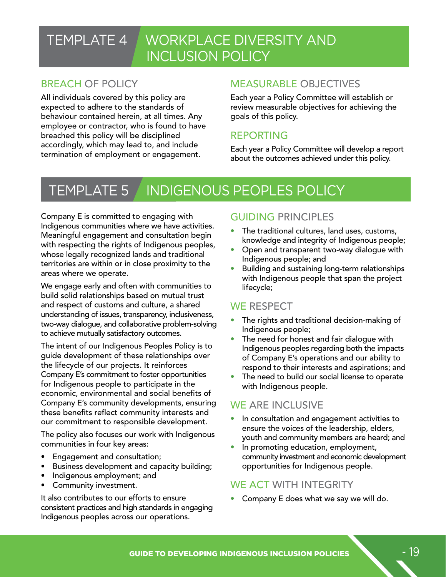## TEMPLATE 4 WORKPLACE DIVERSITY AND INCLUSION POLICY

## BREACH OF POLICY

All individuals covered by this policy are expected to adhere to the standards of behaviour contained herein, at all times. Any employee or contractor, who is found to have breached this policy will be disciplined accordingly, which may lead to, and include termination of employment or engagement.

### MEASURABLE OBJECTIVES

Each year a Policy Committee will establish or review measurable objectives for achieving the goals of this policy.

### REPORTING

Each year a Policy Committee will develop a report about the outcomes achieved under this policy.

## TEMPLATE 5 | INDIGENOUS PEOPLES POLICY

Company E is committed to engaging with Indigenous communities where we have activities. Meaningful engagement and consultation begin with respecting the rights of Indigenous peoples, whose legally recognized lands and traditional territories are within or in close proximity to the areas where we operate.

We engage early and often with communities to build solid relationships based on mutual trust and respect of customs and culture, a shared understanding of issues, transparency, inclusiveness, two-way dialogue, and collaborative problem-solving to achieve mutually satisfactory outcomes.

The intent of our Indigenous Peoples Policy is to guide development of these relationships over the lifecycle of our projects. It reinforces Company E's commitment to foster opportunities for Indigenous people to participate in the economic, environmental and social benefits of Company E's community developments, ensuring these benefits reflect community interests and our commitment to responsible development.

The policy also focuses our work with Indigenous communities in four key areas:

- Engagement and consultation;
- Business development and capacity building;
- Indigenous employment; and
- Community investment.

It also contributes to our efforts to ensure consistent practices and high standards in engaging Indigenous peoples across our operations.

### GUIDING PRINCIPLES

- The traditional cultures, land uses, customs, knowledge and integrity of Indigenous people;
- Open and transparent two-way dialogue with Indigenous people; and
- Building and sustaining long-term relationships with Indigenous people that span the project lifecycle;

### WE RESPECT

- The rights and traditional decision-making of Indigenous people;
- The need for honest and fair dialogue with Indigenous peoples regarding both the impacts of Company E's operations and our ability to respond to their interests and aspirations; and
- The need to build our social license to operate with Indigenous people.

## WE ARE INCLUSIVE

- In consultation and engagement activities to ensure the voices of the leadership, elders, youth and community members are heard; and
- In promoting education, employment, community investment and economic development opportunities for Indigenous people.

### WE ACT WITH INTEGRITY

• Company E does what we say we will do.